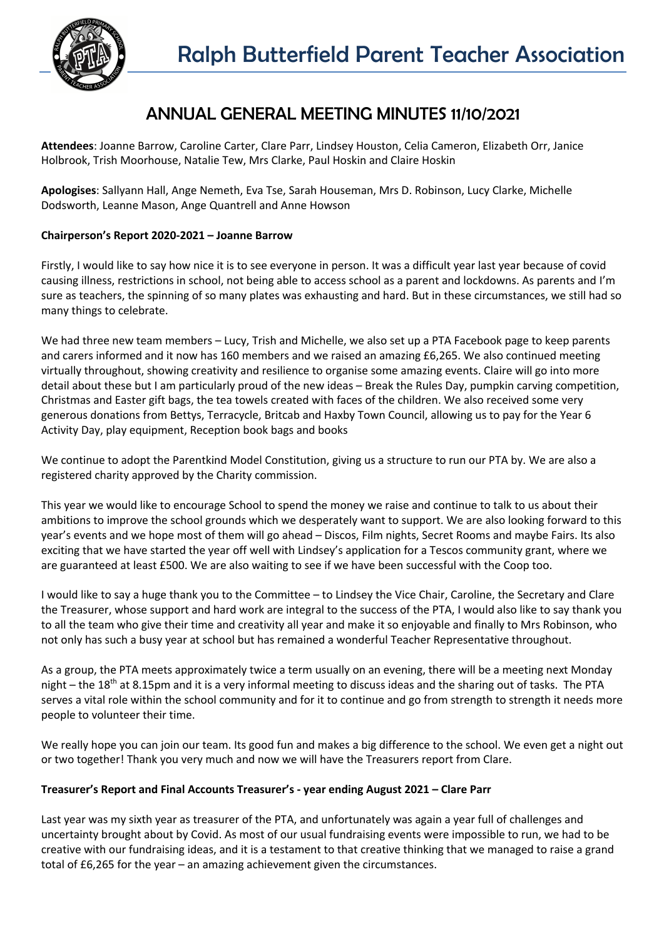

# ANNUAL GENERAL MEETING MINUTES 11/10/2021

**Attendees**: Joanne Barrow, Caroline Carter, Clare Parr, Lindsey Houston, Celia Cameron, Elizabeth Orr, Janice Holbrook, Trish Moorhouse, Natalie Tew, Mrs Clarke, Paul Hoskin and Claire Hoskin

**Apologises**: Sallyann Hall, Ange Nemeth, Eva Tse, Sarah Houseman, Mrs D. Robinson, Lucy Clarke, Michelle Dodsworth, Leanne Mason, Ange Quantrell and Anne Howson

## **Chairperson's Report 2020-2021 – Joanne Barrow**

Firstly, I would like to say how nice it is to see everyone in person. It was a difficult year last year because of covid causing illness, restrictions in school, not being able to access school as a parent and lockdowns. As parents and I'm sure as teachers, the spinning of so many plates was exhausting and hard. But in these circumstances, we still had so many things to celebrate.

We had three new team members – Lucy, Trish and Michelle, we also set up a PTA Facebook page to keep parents and carers informed and it now has 160 members and we raised an amazing £6,265. We also continued meeting virtually throughout, showing creativity and resilience to organise some amazing events. Claire will go into more detail about these but I am particularly proud of the new ideas – Break the Rules Day, pumpkin carving competition, Christmas and Easter gift bags, the tea towels created with faces of the children. We also received some very generous donations from Bettys, Terracycle, Britcab and Haxby Town Council, allowing us to pay for the Year 6 Activity Day, play equipment, Reception book bags and books

We continue to adopt the Parentkind Model Constitution, giving us a structure to run our PTA by. We are also a registered charity approved by the Charity commission.

This year we would like to encourage School to spend the money we raise and continue to talk to us about their ambitions to improve the school grounds which we desperately want to support. We are also looking forward to this year's events and we hope most of them will go ahead – Discos, Film nights, Secret Rooms and maybe Fairs. Its also exciting that we have started the year off well with Lindsey's application for a Tescos community grant, where we are guaranteed at least £500. We are also waiting to see if we have been successful with the Coop too.

I would like to say a huge thank you to the Committee – to Lindsey the Vice Chair, Caroline, the Secretary and Clare the Treasurer, whose support and hard work are integral to the success of the PTA, I would also like to say thank you to all the team who give their time and creativity all year and make it so enjoyable and finally to Mrs Robinson, who not only has such a busy year at school but has remained a wonderful Teacher Representative throughout.

As a group, the PTA meets approximately twice a term usually on an evening, there will be a meeting next Monday night – the 18<sup>th</sup> at 8.15pm and it is a very informal meeting to discuss ideas and the sharing out of tasks. The PTA serves a vital role within the school community and for it to continue and go from strength to strength it needs more people to volunteer their time.

We really hope you can join our team. Its good fun and makes a big difference to the school. We even get a night out or two together! Thank you very much and now we will have the Treasurers report from Clare.

### **Treasurer's Report and Final Accounts Treasurer's - year ending August 2021 – Clare Parr**

Last year was my sixth year as treasurer of the PTA, and unfortunately was again a year full of challenges and uncertainty brought about by Covid. As most of our usual fundraising events were impossible to run, we had to be creative with our fundraising ideas, and it is a testament to that creative thinking that we managed to raise a grand total of £6,265 for the year – an amazing achievement given the circumstances.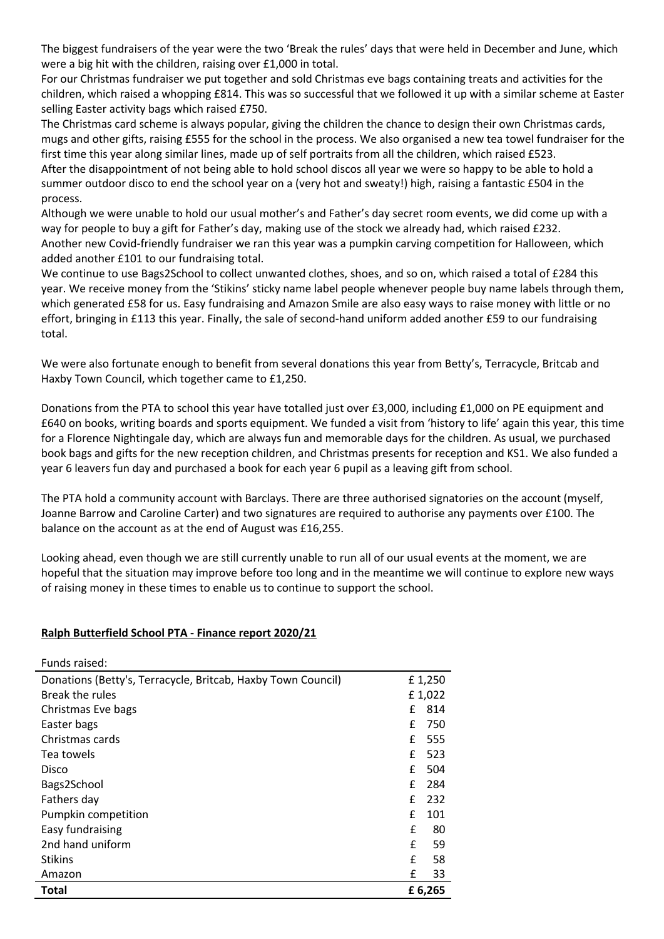The biggest fundraisers of the year were the two 'Break the rules' days that were held in December and June, which were a big hit with the children, raising over £1,000 in total.

For our Christmas fundraiser we put together and sold Christmas eve bags containing treats and activities for the children, which raised a whopping £814. This was so successful that we followed it up with a similar scheme at Easter selling Easter activity bags which raised £750.

The Christmas card scheme is always popular, giving the children the chance to design their own Christmas cards, mugs and other gifts, raising £555 for the school in the process. We also organised a new tea towel fundraiser for the first time this year along similar lines, made up of self portraits from all the children, which raised £523. After the disappointment of not being able to hold school discos all year we were so happy to be able to hold a summer outdoor disco to end the school year on a (very hot and sweaty!) high, raising a fantastic £504 in the process.

Although we were unable to hold our usual mother's and Father's day secret room events, we did come up with a way for people to buy a gift for Father's day, making use of the stock we already had, which raised £232. Another new Covid-friendly fundraiser we ran this year was a pumpkin carving competition for Halloween, which added another £101 to our fundraising total.

We continue to use Bags2School to collect unwanted clothes, shoes, and so on, which raised a total of £284 this year. We receive money from the 'Stikins' sticky name label people whenever people buy name labels through them, which generated £58 for us. Easy fundraising and Amazon Smile are also easy ways to raise money with little or no effort, bringing in £113 this year. Finally, the sale of second-hand uniform added another £59 to our fundraising total.

We were also fortunate enough to benefit from several donations this year from Betty's, Terracycle, Britcab and Haxby Town Council, which together came to £1,250.

Donations from the PTA to school this year have totalled just over £3,000, including £1,000 on PE equipment and £640 on books, writing boards and sports equipment. We funded a visit from 'history to life' again this year, this time for a Florence Nightingale day, which are always fun and memorable days for the children. As usual, we purchased book bags and gifts for the new reception children, and Christmas presents for reception and KS1. We also funded a year 6 leavers fun day and purchased a book for each year 6 pupil as a leaving gift from school.

The PTA hold a community account with Barclays. There are three authorised signatories on the account (myself, Joanne Barrow and Caroline Carter) and two signatures are required to authorise any payments over £100. The balance on the account as at the end of August was £16,255.

Looking ahead, even though we are still currently unable to run all of our usual events at the moment, we are hopeful that the situation may improve before too long and in the meantime we will continue to explore new ways of raising money in these times to enable us to continue to support the school.

### **Ralph Butterfield School PTA - Finance report 2020/21**

| Funds raised:                                                |         |        |
|--------------------------------------------------------------|---------|--------|
| Donations (Betty's, Terracycle, Britcab, Haxby Town Council) |         | £1,250 |
| Break the rules                                              |         | £1,022 |
| Christmas Eve bags                                           | £       | 814    |
| Easter bags                                                  | £       | 750    |
| Christmas cards                                              |         | £ 555  |
| Tea towels                                                   | £       | 523    |
| Disco                                                        | £       | 504    |
| Bags2School                                                  | £       | 284    |
| Fathers day                                                  | f       | 232    |
| Pumpkin competition                                          | £       | 101    |
| Easy fundraising                                             | £       | 80     |
| 2nd hand uniform                                             | £       | 59     |
| <b>Stikins</b>                                               | £       | 58     |
| Amazon                                                       | £       | 33     |
| <b>Total</b>                                                 | £ 6,265 |        |